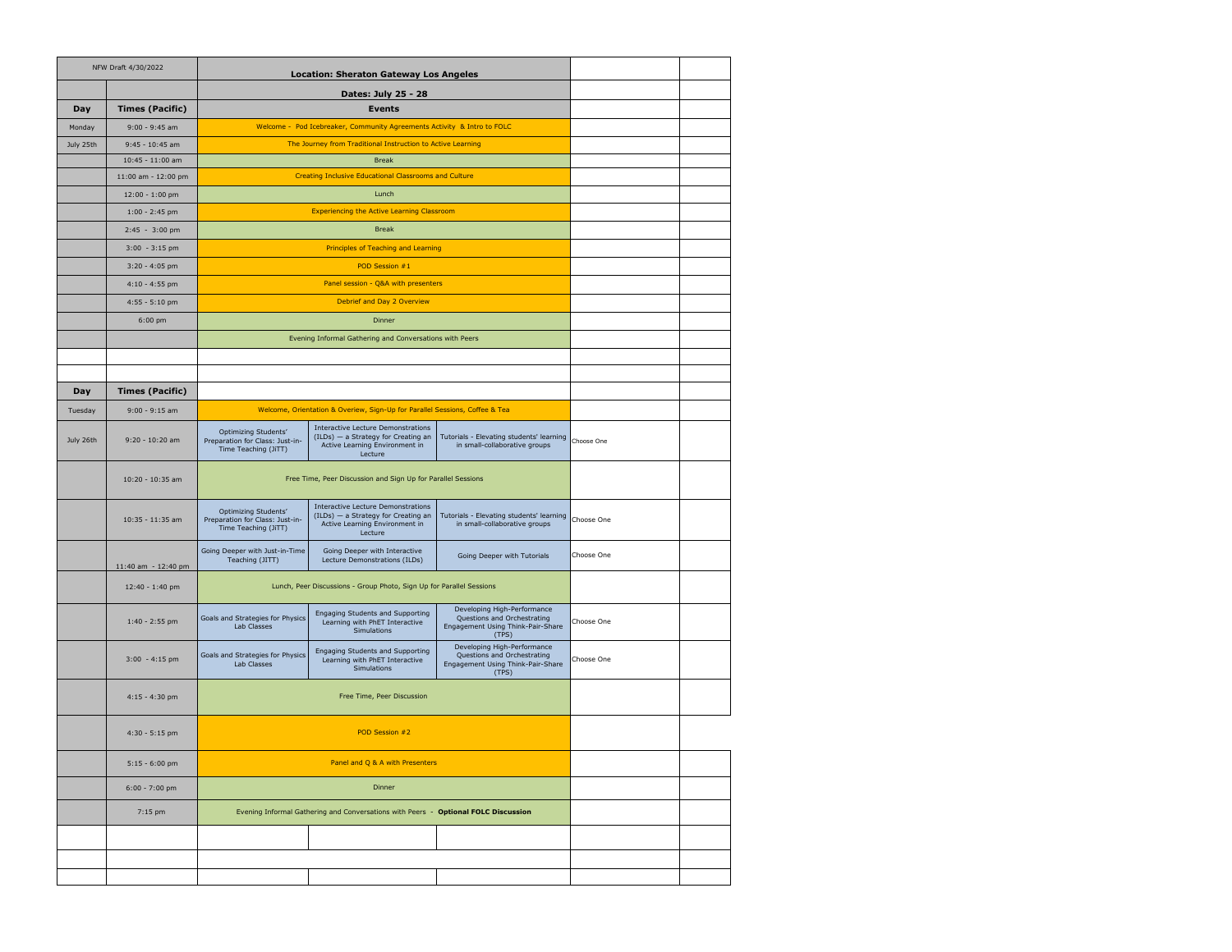| NFW Draft 4/30/2022 |                        | <b>Location: Sheraton Gateway Los Angeles</b>                                      |                                                                                                                               |                                                                                                          |            |  |
|---------------------|------------------------|------------------------------------------------------------------------------------|-------------------------------------------------------------------------------------------------------------------------------|----------------------------------------------------------------------------------------------------------|------------|--|
|                     |                        | Dates: July 25 - 28                                                                |                                                                                                                               |                                                                                                          |            |  |
| Day                 | <b>Times (Pacific)</b> |                                                                                    |                                                                                                                               |                                                                                                          |            |  |
| Monday              | $9:00 - 9:45$ am       | Welcome - Pod Icebreaker, Community Agreements Activity & Intro to FOLC            |                                                                                                                               |                                                                                                          |            |  |
| July 25th           | 9:45 - 10:45 am        | The Journey from Traditional Instruction to Active Learning                        |                                                                                                                               |                                                                                                          |            |  |
|                     | 10:45 - 11:00 am       |                                                                                    |                                                                                                                               |                                                                                                          |            |  |
|                     | 11:00 am - 12:00 pm    | <b>Creating Inclusive Educational Classrooms and Culture</b>                       |                                                                                                                               |                                                                                                          |            |  |
|                     | 12:00 - 1:00 pm        |                                                                                    |                                                                                                                               |                                                                                                          |            |  |
|                     | $1:00 - 2:45$ pm       |                                                                                    |                                                                                                                               |                                                                                                          |            |  |
|                     | 2:45 - 3:00 pm         |                                                                                    |                                                                                                                               |                                                                                                          |            |  |
|                     | $3:00 - 3:15$ pm       |                                                                                    |                                                                                                                               |                                                                                                          |            |  |
|                     | $3:20 - 4:05$ pm       |                                                                                    |                                                                                                                               |                                                                                                          |            |  |
|                     | $4:10 - 4:55$ pm       |                                                                                    |                                                                                                                               |                                                                                                          |            |  |
|                     | $4:55 - 5:10$ pm       |                                                                                    |                                                                                                                               |                                                                                                          |            |  |
|                     | $6:00$ pm              |                                                                                    |                                                                                                                               |                                                                                                          |            |  |
|                     |                        |                                                                                    | Evening Informal Gathering and Conversations with Peers                                                                       |                                                                                                          |            |  |
|                     |                        |                                                                                    |                                                                                                                               |                                                                                                          |            |  |
|                     |                        |                                                                                    |                                                                                                                               |                                                                                                          |            |  |
| Day                 | <b>Times (Pacific)</b> |                                                                                    |                                                                                                                               |                                                                                                          |            |  |
| Tuesday             | $9:00 - 9:15$ am       |                                                                                    | Welcome, Orientation & Overiew, Sign-Up for Parallel Sessions, Coffee & Tea                                                   |                                                                                                          |            |  |
| July 26th           | 9:20 - 10:20 am        | Optimizing Students'<br>Preparation for Class: Just-in-<br>Time Teaching (JiTT)    | <b>Interactive Lecture Demonstrations</b><br>(ILDs) - a Strategy for Creating an<br>Active Learning Environment in<br>Lecture | Tutorials - Elevating students' learning<br>in small-collaborative groups                                | Choose One |  |
|                     | 10:20 - 10:35 am       | Free Time, Peer Discussion and Sign Up for Parallel Sessions                       |                                                                                                                               |                                                                                                          |            |  |
|                     | 10:35 - 11:35 am       | Optimizing Students'<br>Preparation for Class: Just-in-<br>Time Teaching (JiTT)    | <b>Interactive Lecture Demonstrations</b><br>(ILDs) - a Strategy for Creating an<br>Active Learning Environment in<br>Lecture | Tutorials - Elevating students' learning<br>in small-collaborative groups                                | Choose One |  |
|                     | 11:40 am - 12:40 pm    | Going Deeper with Just-in-Time<br>Teaching (JITT)                                  | Going Deeper with Interactive<br>Lecture Demonstrations (ILDs)                                                                | Going Deeper with Tutorials                                                                              | Choose One |  |
|                     | 12:40 - 1:40 pm        | Lunch, Peer Discussions - Group Photo, Sign Up for Parallel Sessions               |                                                                                                                               |                                                                                                          |            |  |
|                     | $1:40 - 2:55$ pm       | Goals and Strategies for Physics<br>Lab Classes                                    | <b>Engaging Students and Supporting</b><br>Learning with PhET Interactive<br>Simulations                                      | Developing High-Performance<br>Questions and Orchestrating<br>Engagement Using Think-Pair-Share<br>(TPS) | Choose One |  |
|                     | $3:00 - 4:15$ pm       | Goals and Strategies for Physics<br>Lab Classes                                    | Engaging Students and Supporting<br>Learning with PhET Interactive<br>Simulations                                             | Developing High-Performance<br>Questions and Orchestrating<br>Engagement Using Think-Pair-Share<br>(TPS) | Choose One |  |
|                     | $4:15 - 4:30$ pm       |                                                                                    |                                                                                                                               |                                                                                                          |            |  |
|                     | $4:30 - 5:15$ pm       |                                                                                    |                                                                                                                               |                                                                                                          |            |  |
|                     | $5:15 - 6:00$ pm       |                                                                                    |                                                                                                                               |                                                                                                          |            |  |
|                     | $6:00 - 7:00$ pm       |                                                                                    |                                                                                                                               |                                                                                                          |            |  |
|                     | 7:15 pm                | Evening Informal Gathering and Conversations with Peers - Optional FOLC Discussion |                                                                                                                               |                                                                                                          |            |  |
|                     |                        |                                                                                    |                                                                                                                               |                                                                                                          |            |  |
|                     |                        |                                                                                    |                                                                                                                               |                                                                                                          |            |  |
|                     |                        |                                                                                    |                                                                                                                               |                                                                                                          |            |  |